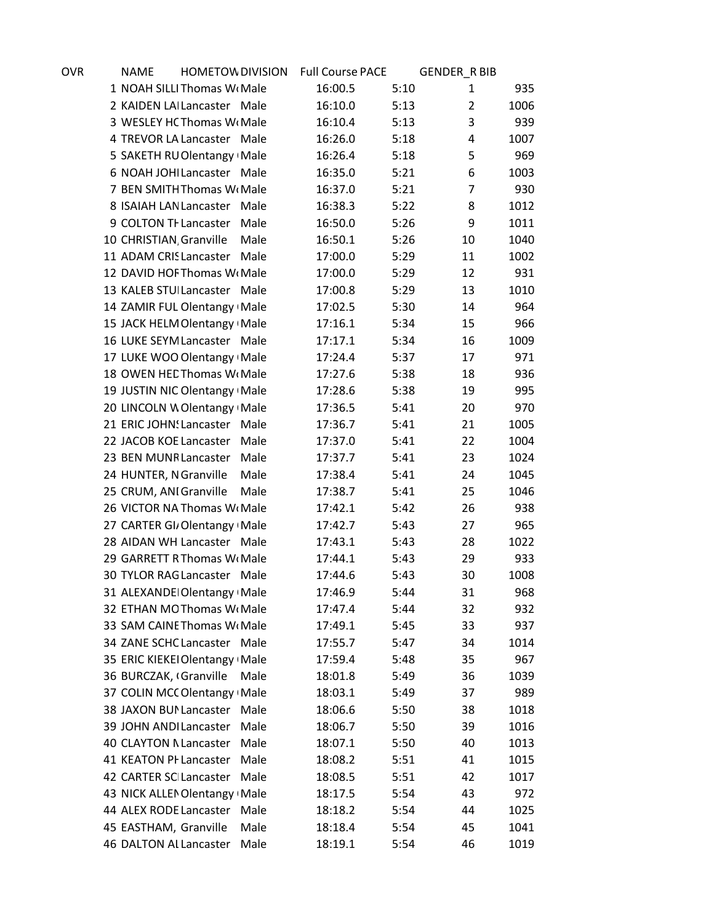| OVR | <b>NAME</b>             | <b>HOMETOW DIVISION</b>         |      | <b>Full Course PACE</b> |      | <b>GENDER_R BIB</b> |      |
|-----|-------------------------|---------------------------------|------|-------------------------|------|---------------------|------|
|     |                         | 1 NOAH SILLI Thomas WoMale      |      | 16:00.5                 | 5:10 | 1                   | 935  |
|     |                         | 2 KAIDEN LAI Lancaster Male     |      | 16:10.0                 | 5:13 | $\overline{2}$      | 1006 |
|     |                         | 3 WESLEY HC Thomas Wr Male      |      | 16:10.4                 | 5:13 | 3                   | 939  |
|     |                         | 4 TREVOR LA Lancaster Male      |      | 16:26.0                 | 5:18 | 4                   | 1007 |
|     |                         | 5 SAKETH RU Olentangy Male      |      | 16:26.4                 | 5:18 | 5                   | 969  |
|     |                         | 6 NOAH JOHI Lancaster Male      |      | 16:35.0                 | 5:21 | 6                   | 1003 |
|     |                         | 7 BEN SMITH Thomas W(Male       |      | 16:37.0                 | 5:21 | $\overline{7}$      | 930  |
|     |                         | 8 ISAIAH LAN Lancaster Male     |      | 16:38.3                 | 5:22 | 8                   | 1012 |
|     | 9 COLTON TI Lancaster   |                                 | Male | 16:50.0                 | 5:26 | 9                   | 1011 |
|     | 10 CHRISTIAN Granville  |                                 | Male | 16:50.1                 | 5:26 | 10                  | 1040 |
|     |                         | 11 ADAM CRIS Lancaster Male     |      | 17:00.0                 | 5:29 | 11                  | 1002 |
|     |                         | 12 DAVID HOF Thomas W Male      |      | 17:00.0                 | 5:29 | 12                  | 931  |
|     |                         | 13 KALEB STUILancaster Male     |      | 17:00.8                 | 5:29 | 13                  | 1010 |
|     |                         | 14 ZAMIR FUL Olentangy Male     |      | 17:02.5                 | 5:30 | 14                  | 964  |
|     |                         | 15 JACK HELM Olentangy Male     |      | 17:16.1                 | 5:34 | 15                  | 966  |
|     |                         | 16 LUKE SEYM Lancaster Male     |      | 17:17.1                 | 5:34 | 16                  | 1009 |
|     |                         | 17 LUKE WOO Olentangy Male      |      | 17:24.4                 | 5:37 | 17                  | 971  |
|     |                         | 18 OWEN HED Thomas W Male       |      | 17:27.6                 | 5:38 | 18                  | 936  |
|     |                         | 19 JUSTIN NIC Olentangy Male    |      | 17:28.6                 | 5:38 | 19                  | 995  |
|     |                         | 20 LINCOLN W Olentangy Male     |      | 17:36.5                 | 5:41 | 20                  | 970  |
|     |                         | 21 ERIC JOHN! Lancaster         | Male | 17:36.7                 | 5:41 | 21                  | 1005 |
|     |                         | 22 JACOB KOE Lancaster          | Male | 17:37.0                 | 5:41 | 22                  | 1004 |
|     | 23 BEN MUNR Lancaster   |                                 | Male | 17:37.7                 | 5:41 | 23                  | 1024 |
|     | 24 HUNTER, NGranville   |                                 | Male | 17:38.4                 | 5:41 | 24                  | 1045 |
|     | 25 CRUM, ANI Granville  |                                 | Male | 17:38.7                 | 5:41 | 25                  | 1046 |
|     |                         | 26 VICTOR NA Thomas W(Male      |      | 17:42.1                 | 5:42 | 26                  | 938  |
|     |                         | 27 CARTER GI/Olentangy Male     |      | 17:42.7                 | 5:43 | 27                  | 965  |
|     |                         | 28 AIDAN WH Lancaster Male      |      | 17:43.1                 | 5:43 | 28                  | 1022 |
|     |                         | 29 GARRETT RThomas WrMale       |      | 17:44.1                 | 5:43 | 29                  | 933  |
|     |                         | 30 TYLOR RAG Lancaster Male     |      | 17:44.6                 | 5:43 | 30                  | 1008 |
|     |                         | 31 ALEXANDEI Olentangy Male     |      | 17:46.9                 | 5:44 | 31                  | 968  |
|     |                         | 32 ETHAN MOThomas WrMale        |      | 17:47.4                 | 5:44 | 32                  | 932  |
|     |                         | 33 SAM CAINE Thomas Wi Male     |      | 17:49.1                 | 5:45 | 33                  | 937  |
|     |                         | 34 ZANE SCHC Lancaster Male     |      | 17:55.7                 | 5:47 | 34                  | 1014 |
|     |                         | 35 ERIC KIEKEI Olentangy   Male |      | 17:59.4                 | 5:48 | 35                  | 967  |
|     | 36 BURCZAK, (Granville  |                                 | Male | 18:01.8                 | 5:49 | 36                  | 1039 |
|     |                         | 37 COLIN MCC Olentangy Male     |      | 18:03.1                 | 5:49 | 37                  | 989  |
|     |                         | 38 JAXON BUI Lancaster Male     |      | 18:06.6                 | 5:50 | 38                  | 1018 |
|     | 39 JOHN ANDI Lancaster  |                                 | Male | 18:06.7                 | 5:50 | 39                  | 1016 |
|     | 40 CLAYTON N Lancaster  |                                 | Male | 18:07.1                 | 5:50 | 40                  | 1013 |
|     | 41 KEATON PI Lancaster  |                                 | Male | 18:08.2                 | 5:51 | 41                  | 1015 |
|     | 42 CARTER SCI Lancaster |                                 | Male | 18:08.5                 | 5:51 | 42                  | 1017 |
|     |                         | 43 NICK ALLEN Olentangy Male    |      | 18:17.5                 | 5:54 | 43                  | 972  |
|     | 44 ALEX RODE Lancaster  |                                 | Male | 18:18.2                 | 5:54 | 44                  | 1025 |
|     | 45 EASTHAM, Granville   |                                 | Male | 18:18.4                 | 5:54 | 45                  | 1041 |
|     | 46 DALTON AI Lancaster  |                                 | Male | 18:19.1                 | 5:54 | 46                  | 1019 |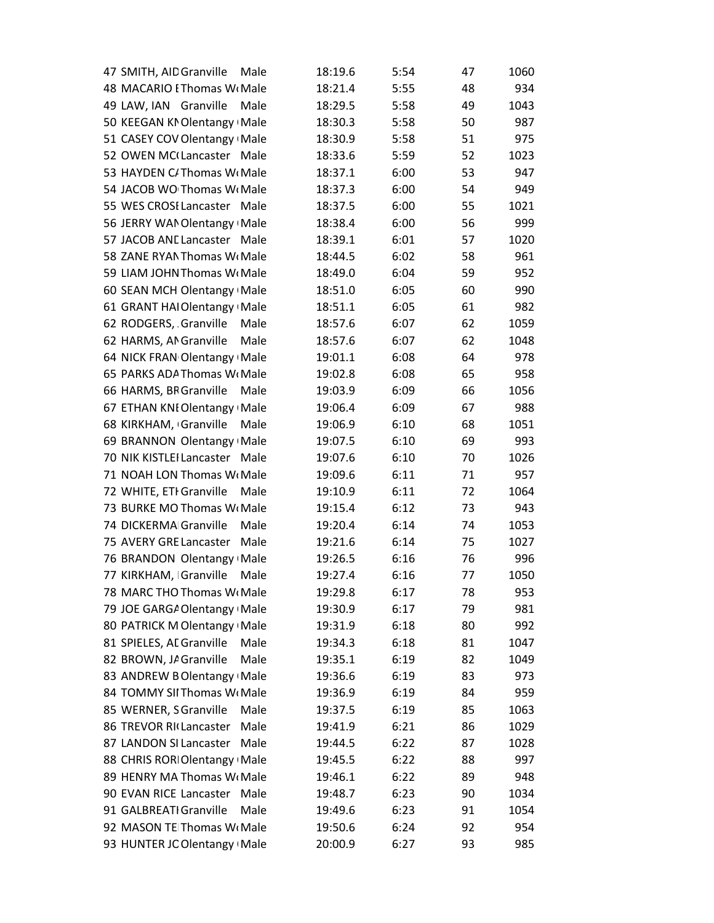| 47 SMITH, AID Granville<br>Male  | 18:19.6 | 5:54 | 47 | 1060 |
|----------------------------------|---------|------|----|------|
| 48 MACARIO EThomas WLMale        | 18:21.4 | 5:55 | 48 | 934  |
| 49 LAW, IAN Granville<br>Male    | 18:29.5 | 5:58 | 49 | 1043 |
| 50 KEEGAN KNOlentangy Male       | 18:30.3 | 5:58 | 50 | 987  |
| 51 CASEY COV Olentangy Male      | 18:30.9 | 5:58 | 51 | 975  |
| 52 OWEN MC(Lancaster Male        | 18:33.6 | 5:59 | 52 | 1023 |
| 53 HAYDEN C/Thomas W(Male        | 18:37.1 | 6:00 | 53 | 947  |
| 54 JACOB WO Thomas Wr Male       | 18:37.3 | 6:00 | 54 | 949  |
| 55 WES CROSI Lancaster Male      | 18:37.5 | 6:00 | 55 | 1021 |
| 56 JERRY WAN Olentangy Male      | 18:38.4 | 6:00 | 56 | 999  |
| 57 JACOB ANE Lancaster Male      | 18:39.1 | 6:01 | 57 | 1020 |
| 58 ZANE RYAN Thomas W(Male       | 18:44.5 | 6:02 | 58 | 961  |
| 59 LIAM JOHN Thomas W(Male       | 18:49.0 | 6:04 | 59 | 952  |
| 60 SEAN MCH Olentangy Male       | 18:51.0 | 6:05 | 60 | 990  |
| 61 GRANT HAI Olentangy Male      | 18:51.1 | 6:05 | 61 | 982  |
| 62 RODGERS, Granville<br>Male    | 18:57.6 | 6:07 | 62 | 1059 |
| 62 HARMS, ANGranville<br>Male    | 18:57.6 | 6:07 | 62 | 1048 |
| 64 NICK FRAN Olentangy Male      | 19:01.1 | 6:08 | 64 | 978  |
| 65 PARKS ADA Thomas W. Male      | 19:02.8 | 6:08 | 65 | 958  |
| 66 HARMS, BR Granville<br>Male   | 19:03.9 | 6:09 | 66 | 1056 |
| 67 ETHAN KNI Olentangy Male      | 19:06.4 | 6:09 | 67 | 988  |
| 68 KIRKHAM, Granville<br>Male    | 19:06.9 | 6:10 | 68 | 1051 |
| 69 BRANNON Olentangy Male        | 19:07.5 | 6:10 | 69 | 993  |
| 70 NIK KISTLEI Lancaster<br>Male | 19:07.6 | 6:10 | 70 | 1026 |
| 71 NOAH LON Thomas Wr Male       | 19:09.6 | 6:11 | 71 | 957  |
| 72 WHITE, ETI Granville<br>Male  | 19:10.9 | 6:11 | 72 | 1064 |
| 73 BURKE MO Thomas W(Male        | 19:15.4 | 6:12 | 73 | 943  |
| 74 DICKERMA Granville<br>Male    | 19:20.4 | 6:14 | 74 | 1053 |
| 75 AVERY GRE Lancaster<br>Male   | 19:21.6 | 6:14 | 75 | 1027 |
| 76 BRANDON Olentangy Male        | 19:26.5 | 6:16 | 76 | 996  |
| 77 KIRKHAM, Granville<br>Male    | 19:27.4 | 6:16 | 77 | 1050 |
| 78 MARC THO Thomas W(Male        | 19:29.8 | 6:17 | 78 | 953  |
| 79 JOE GARGA Olentangy   Male    | 19:30.9 | 6:17 | 79 | 981  |
| 80 PATRICK M Olentangy Male      | 19:31.9 | 6:18 | 80 | 992  |
| 81 SPIELES, AL Granville<br>Male | 19:34.3 | 6:18 | 81 | 1047 |
| 82 BROWN, JA Granville<br>Male   | 19:35.1 | 6:19 | 82 | 1049 |
| 83 ANDREW B Olentangy Male       | 19:36.6 | 6:19 | 83 | 973  |
| 84 TOMMY SII Thomas Wr Male      | 19:36.9 | 6:19 | 84 | 959  |
| 85 WERNER, SGranville<br>Male    | 19:37.5 | 6:19 | 85 | 1063 |
| 86 TREVOR RI Lancaster<br>Male   | 19:41.9 | 6:21 | 86 | 1029 |
| 87 LANDON SI Lancaster<br>Male   | 19:44.5 | 6:22 | 87 | 1028 |
| 88 CHRIS ROR Olentangy Male      | 19:45.5 | 6:22 | 88 | 997  |
| 89 HENRY MA Thomas Wr Male       | 19:46.1 | 6:22 | 89 | 948  |
| 90 EVAN RICE Lancaster<br>Male   | 19:48.7 | 6:23 | 90 | 1034 |
| 91 GALBREATI Granville<br>Male   | 19:49.6 | 6:23 | 91 | 1054 |
| 92 MASON TE Thomas WrMale        | 19:50.6 | 6:24 | 92 | 954  |
| 93 HUNTER JC Olentangy   Male    | 20:00.9 | 6:27 | 93 | 985  |